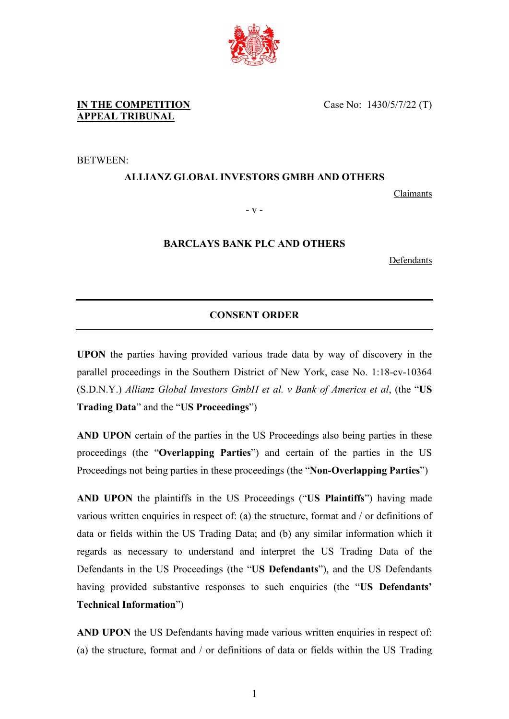

**IN THE COMPETITION APPEAL TRIBUNAL**

BETWEEN:

## **ALLIANZ GLOBAL INVESTORS GMBH AND OTHERS**

Claimants

- v -

## **BARCLAYS BANK PLC AND OTHERS**

**Defendants** 

## **CONSENT ORDER**

**UPON** the parties having provided various trade data by way of discovery in the parallel proceedings in the Southern District of New York, case No. 1:18-cv-10364 (S.D.N.Y.) *Allianz Global Investors GmbH et al. v Bank of America et al*, (the "**US Trading Data**" and the "**US Proceedings**")

**AND UPON** certain of the parties in the US Proceedings also being parties in these proceedings (the "**Overlapping Parties**") and certain of the parties in the US Proceedings not being parties in these proceedings (the "**Non-Overlapping Parties**")

**AND UPON** the plaintiffs in the US Proceedings ("**US Plaintiffs**") having made various written enquiries in respect of: (a) the structure, format and / or definitions of data or fields within the US Trading Data; and (b) any similar information which it regards as necessary to understand and interpret the US Trading Data of the Defendants in the US Proceedings (the "**US Defendants**"), and the US Defendants having provided substantive responses to such enquiries (the "**US Defendants' Technical Information**")

**AND UPON** the US Defendants having made various written enquiries in respect of: (a) the structure, format and / or definitions of data or fields within the US Trading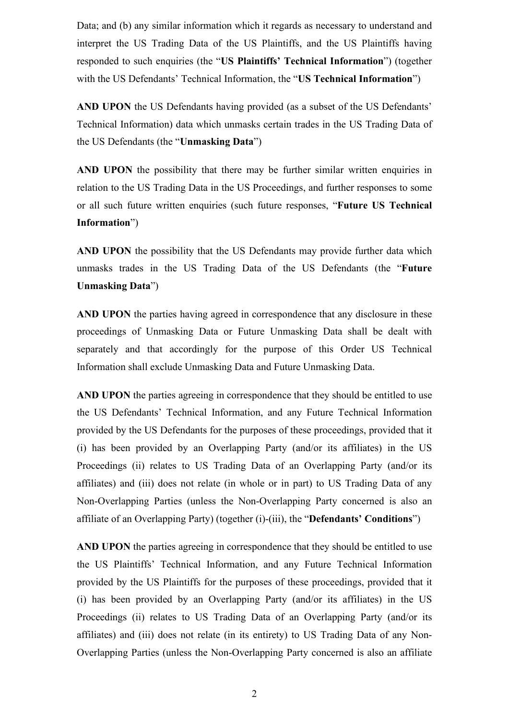Data; and (b) any similar information which it regards as necessary to understand and interpret the US Trading Data of the US Plaintiffs, and the US Plaintiffs having responded to such enquiries (the "**US Plaintiffs' Technical Information**") (together with the US Defendants' Technical Information, the "**US Technical Information**")

**AND UPON** the US Defendants having provided (as a subset of the US Defendants' Technical Information) data which unmasks certain trades in the US Trading Data of the US Defendants (the "**Unmasking Data**")

**AND UPON** the possibility that there may be further similar written enquiries in relation to the US Trading Data in the US Proceedings, and further responses to some or all such future written enquiries (such future responses, "**Future US Technical Information**")

**AND UPON** the possibility that the US Defendants may provide further data which unmasks trades in the US Trading Data of the US Defendants (the "**Future Unmasking Data**")

**AND UPON** the parties having agreed in correspondence that any disclosure in these proceedings of Unmasking Data or Future Unmasking Data shall be dealt with separately and that accordingly for the purpose of this Order US Technical Information shall exclude Unmasking Data and Future Unmasking Data.

**AND UPON** the parties agreeing in correspondence that they should be entitled to use the US Defendants' Technical Information, and any Future Technical Information provided by the US Defendants for the purposes of these proceedings, provided that it (i) has been provided by an Overlapping Party (and/or its affiliates) in the US Proceedings (ii) relates to US Trading Data of an Overlapping Party (and/or its affiliates) and (iii) does not relate (in whole or in part) to US Trading Data of any Non-Overlapping Parties (unless the Non-Overlapping Party concerned is also an affiliate of an Overlapping Party) (together (i)-(iii), the "**Defendants' Conditions**")

AND UPON the parties agreeing in correspondence that they should be entitled to use the US Plaintiffs' Technical Information, and any Future Technical Information provided by the US Plaintiffs for the purposes of these proceedings, provided that it (i) has been provided by an Overlapping Party (and/or its affiliates) in the US Proceedings (ii) relates to US Trading Data of an Overlapping Party (and/or its affiliates) and (iii) does not relate (in its entirety) to US Trading Data of any Non-Overlapping Parties (unless the Non-Overlapping Party concerned is also an affiliate